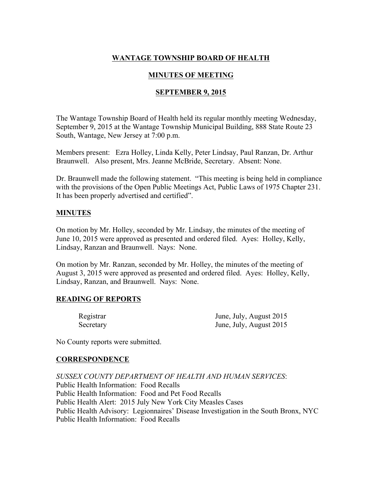# WANTAGE TOWNSHIP BOARD OF HEALTH

# MINUTES OF MEETING

### **SEPTEMBER 9, 2015**

The Wantage Township Board of Health held its regular monthly meeting Wednesday, September 9, 2015 at the Wantage Township Municipal Building, 888 State Route 23 South, Wantage, New Jersey at 7:00 p.m.

Members present: Ezra Holley, Linda Kelly, Peter Lindsay, Paul Ranzan, Dr. Arthur Braunwell. Also present, Mrs. Jeanne McBride, Secretary. Absent: None.

Dr. Braunwell made the following statement. "This meeting is being held in compliance with the provisions of the Open Public Meetings Act, Public Laws of 1975 Chapter 231. It has been properly advertised and certified".

### MINUTES

On motion by Mr. Holley, seconded by Mr. Lindsay, the minutes of the meeting of June 10, 2015 were approved as presented and ordered filed. Ayes: Holley, Kelly, Lindsay, Ranzan and Braunwell. Nays: None.

On motion by Mr. Ranzan, seconded by Mr. Holley, the minutes of the meeting of August 3, 2015 were approved as presented and ordered filed. Ayes: Holley, Kelly, Lindsay, Ranzan, and Braunwell. Nays: None.

# READING OF REPORTS

| Registrar | June, July, August 2015 |
|-----------|-------------------------|
| Secretary | June, July, August 2015 |

No County reports were submitted.

#### **CORRESPONDENCE**

*SUSSEX COUNTY DEPARTMENT OF HEALTH AND HUMAN SERVICES*: Public Health Information: Food Recalls Public Health Information: Food and Pet Food Recalls Public Health Alert: 2015 July New York City Measles Cases Public Health Advisory: Legionnaires' Disease Investigation in the South Bronx, NYC Public Health Information: Food Recalls